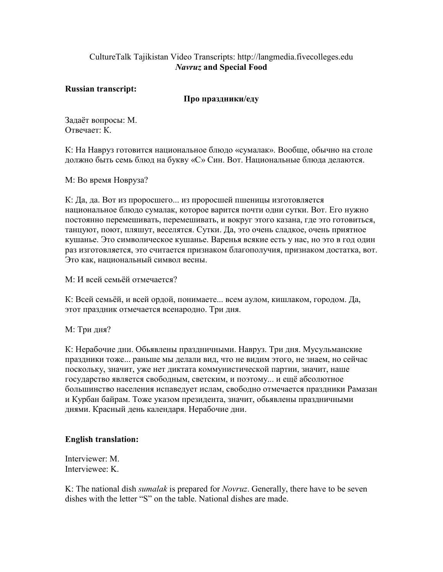## CultureTalk Tajikistan Video Transcripts: http://langmedia.fivecolleges.edu Navruz and Special Food

Russian transcript:

## Про праздники/еду

Задаёт вопросы: М. Отвечает: К.

К: На Навруз готовится национальное блюдо «сумалак». Вообще, обычно на столе должно быть семь блюд на букву «С» Син. Вот. Национальные блюда делаются.

М: Во время Новруза?

К: Да, да. Вот из проросшего... из проросшей пшеницы изготовляется национальное блюдо сумалак, которое варится почти одни сутки. Вот. Его нужно постоянно перемешивать, перемешивать, и вокруг этого казана, где это готовиться, танцуют, поют, пляшут, веселятся. Сутки. Да, это очень сладкое, очень приятное кушанье. Это символическое кушанье. Варенья всякие есть у нас, но это в год один раз изготовляется, это считается признаком благополучия, признаком достатка, вот. Это как, национальный символ весны.

М: И всей семьёй отмечается?

К: Всей семьёй, и всей ордой, понимаете... всем аулом, кишлаком, городом. Да, этот праздник отмечается всенародно. Три дня.

М: Три дня?

К: Нерабочие дни. Обьявлены праздничными. Навруз. Три дня. Мусульманские праздники тоже... раньше мы делали вид, что не видим этого, не знаем, но сейчас поскольку, значит, уже нет диктата коммунистической партии, значит, наше государство является свободным, светским, и поэтому... и ещё абсолютное большинство населения испаведует ислам, свободно отмечается праздники Рамазан и Курбан байрам. Тоже указом президента, значит, обьявлены праздничными днями. Красный день календаря. Нерабочие дни.

## English translation:

Interviewer: M. Interviewee: K.

K: The national dish *sumalak* is prepared for *Novruz*. Generally, there have to be seven dishes with the letter "S" on the table. National dishes are made.